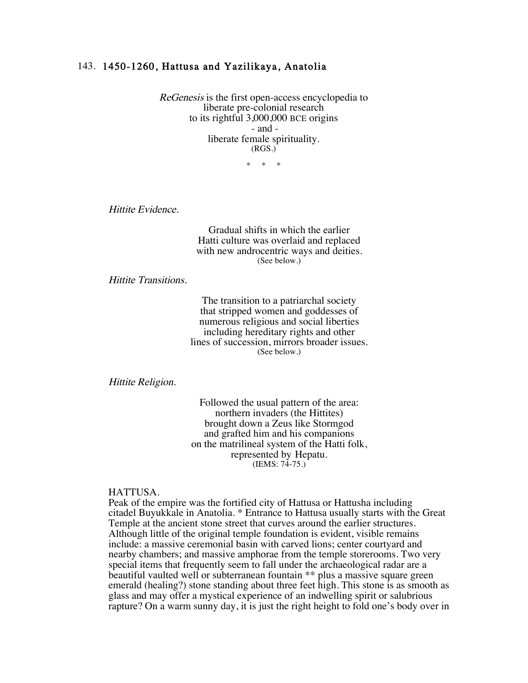## 143. 1450-1260, Hattusa and Yazilikaya, Anatolia

ReGenesis is the first open-access encyclopedia to liberate pre-colonial research to its rightful 3,000,000 BCE origins - and liberate female spirituality. (RGS.)

\* \* \*

Hittite Evidence.

Gradual shifts in which the earlier Hatti culture was overlaid and replaced with new androcentric ways and deities. (See below.)

Hittite Transitions.

The transition to a patriarchal society that stripped women and goddesses of numerous religious and social liberties including hereditary rights and other lines of succession, mirrors broader issues. (See below.)

Hittite Religion.

Followed the usual pattern of the area: northern invaders (the Hittites) brought down a Zeus like Stormgod and grafted him and his companions on the matrilineal system of the Hatti folk, represented by Hepatu. (IEMS: 74-75.)

## HATTUSA.

Peak of the empire was the fortified city of Hattusa or Hattusha including citadel Buyukkale in Anatolia. \* Entrance to Hattusa usually starts with the Great Temple at the ancient stone street that curves around the earlier structures. Although little of the original temple foundation is evident, visible remains include: a massive ceremonial basin with carved lions; center courtyard and nearby chambers; and massive amphorae from the temple storerooms. Two very special items that frequently seem to fall under the archaeological radar are a beautiful vaulted well or subterranean fountain \*\* plus a massive square green emerald (healing?) stone standing about three feet high. This stone is as smooth as glass and may offer a mystical experience of an indwelling spirit or salubrious rapture? On a warm sunny day, it is just the right height to fold one's body over in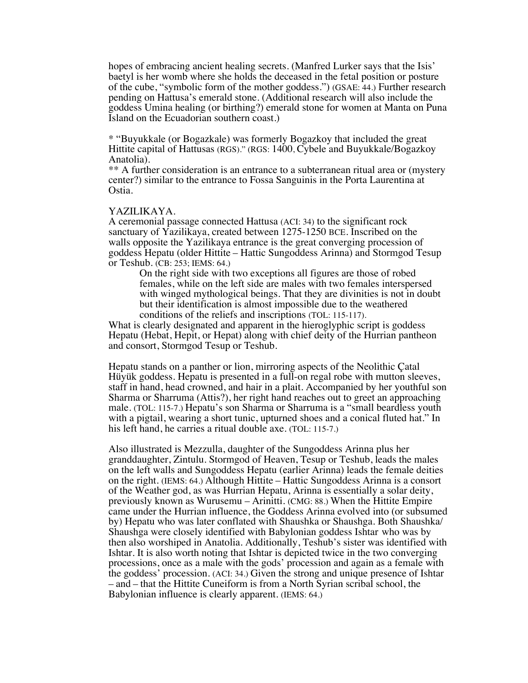hopes of embracing ancient healing secrets. (Manfred Lurker says that the Isis' baetyl is her womb where she holds the deceased in the fetal position or posture of the cube, "symbolic form of the mother goddess.") (GSAE: 44.) Further research pending on Hattusa's emerald stone. (Additional research will also include the goddess Umina healing (or birthing?) emerald stone for women at Manta on Puna Island on the Ecuadorian southern coast.)

\* "Buyukkale (or Bogazkale) was formerly Bogazkoy that included the great Hittite capital of Hattusas (RGS)." (RGS: 1400, Cybele and Buyukkale/Bogazkoy Anatolia).

\*\* A further consideration is an entrance to a subterranean ritual area or (mystery center?) similar to the entrance to Fossa Sanguinis in the Porta Laurentina at Ostia.

## YAZILIKAYA.

A ceremonial passage connected Hattusa (ACI: 34) to the significant rock sanctuary of Yazilikaya, created between 1275-1250 BCE. Inscribed on the walls opposite the Yazilikaya entrance is the great converging procession of goddess Hepatu (older Hittite – Hattic Sungoddess Arinna) and Stormgod Tesup or Teshub. (CB: 253; IEMS: 64.)

On the right side with two exceptions all figures are those of robed females, while on the left side are males with two females interspersed with winged mythological beings. That they are divinities is not in doubt but their identification is almost impossible due to the weathered conditions of the reliefs and inscriptions (TOL: 115-117).

What is clearly designated and apparent in the hieroglyphic script is goddess Hepatu (Hebat, Hepit, or Hepat) along with chief deity of the Hurrian pantheon and consort, Stormgod Tesup or Teshub.

Hepatu stands on a panther or lion, mirroring aspects of the Neolithic Çatal Hüyük goddess. Hepatu is presented in a full-on regal robe with mutton sleeves, staff in hand, head crowned, and hair in a plait. Accompanied by her youthful son Sharma or Sharruma (Attis?), her right hand reaches out to greet an approaching male. (TOL: 115-7.) Hepatu's son Sharma or Sharruma is a "small beardless youth with a pigtail, wearing a short tunic, upturned shoes and a conical fluted hat." In his left hand, he carries a ritual double axe. (TOL: 115-7.)

Also illustrated is Mezzulla, daughter of the Sungoddess Arinna plus her granddaughter, Zintulu. Stormgod of Heaven, Tesup or Teshub, leads the males on the left walls and Sungoddess Hepatu (earlier Arinna) leads the female deities on the right. (IEMS: 64.) Although Hittite – Hattic Sungoddess Arinna is a consort previously known as Wurusemu – Arinitti. (CMG: 88.) When the Hittite Empire came under the Hurrian influence, the Goddess Arinna evolved into (or subsumed by) Hepatu who was later conflated with Shaushka or Shaushga. Both Shaushka/ Shaushga were closely identified with Babylonian goddess Ishtar who was by then also worshiped in Anatolia. Additionally, Teshub's sister was identified with Ishtar. It is also worth noting that Ishtar is depicted twice in the two converging processions, once as a male with the gods' procession and again as a female with the goddess' procession. (ACI: 34.) Given the strong and unique presence of Ishtar – and – that the Hittite Cuneiform is from a North Syrian scribal school, the Babylonian influence is clearly apparent. (IEMS: 64.)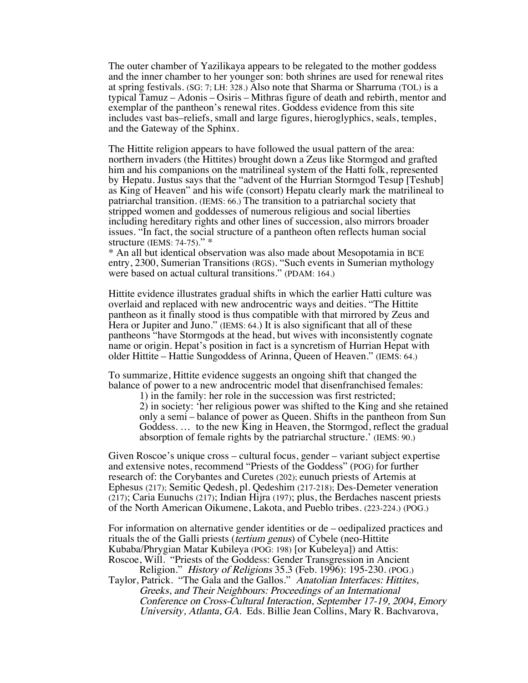The outer chamber of Yazilikaya appears to be relegated to the mother goddess and the inner chamber to her younger son: both shrines are used for renewal rites at spring festivals. (SG: 7; LH: 328.) Also note that Sharma or Sharruma (TOL) is a typical Tamuz – Adonis – Osiris – Mithras figure of death and rebirth, mentor and exemplar of the pantheon's renewal rites. Goddess evidence from this site includes vast bas–reliefs, small and large figures, hieroglyphics, seals, temples, and the Gateway of the Sphinx.

The Hittite religion appears to have followed the usual pattern of the area: northern invaders (the Hittites) brought down a Zeus like Stormgod and grafted him and his companions on the matrilineal system of the Hatti folk, represented by Hepatu. Justus says that the "advent of the Hurrian Stormgod Tesup [Teshub] as King of Heaven" and his wife (consort) Hepatu clearly mark the matrilineal to patriarchal transition. (IEMS: 66.) The transition to a patriarchal society that stripped women and goddesses of numerous religious and social liberties including hereditary rights and other lines of succession, also mirrors broader issues. "In fact, the social structure of a pantheon often reflects human social structure (IEMS: 74-75)." \*

\* An all but identical observation was also made about Mesopotamia in BCE entry, 2300, Sumerian Transitions (RGS). "Such events in Sumerian mythology were based on actual cultural transitions." (PDAM: 164.)

Hittite evidence illustrates gradual shifts in which the earlier Hatti culture was overlaid and replaced with new androcentric ways and deities. "The Hittite pantheon as it finally stood is thus compatible with that mirrored by Zeus and Hera or Jupiter and Juno." (IEMS: 64.) It is also significant that all of these pantheons "have Stormgods at the head, but wives with inconsistently cognate name or origin. Hepat's position in fact is a syncretism of Hurrian Hepat with older Hittite – Hattie Sungoddess of Arinna, Queen of Heaven." (IEMS: 64.)

To summarize, Hittite evidence suggests an ongoing shift that changed the balance of power to a new androcentric model that disenfranchised females:

1) in the family: her role in the succession was first restricted; 2) in society: 'her religious power was shifted to the King and she retained only a semi – balance of power as Queen. Shifts in the pantheon from Sun Goddess. … to the new King in Heaven, the Stormgod, reflect the gradual absorption of female rights by the patriarchal structure.' (IEMS: 90.)

Given Roscoe's unique cross – cultural focus, gender – variant subject expertise and extensive notes, recommend "Priests of the Goddess" (POG) for further research of: the Corybantes and Curetes (202); eunuch priests of Artemis at Ephesus (217); Semitic Qedesh, pl. Qedeshim (217-218); Des-Demeter veneration (217); Caria Eunuchs (217); Indian Hijra (197); plus, the Berdaches nascent priests of the North American Oikumene, Lakota, and Pueblo tribes. (223-224.) (POG.)

For information on alternative gender identities or de – oedipalized practices and rituals the of the Galli priests (tertium genus) of Cybele (neo-Hittite Kubaba/Phrygian Matar Kubileya (POG: 198) [or Kubeleya]) and Attis: Roscoe, Will. "Priests of the Goddess: Gender Transgression in Ancient

Religion." History of Religions 35.3 (Feb. 1996): 195-230. (POG.) Taylor, Patrick. "The Gala and the Gallos." Anatolian Interfaces: Hittites, Greeks, and Their Neighbours: Proceedings of an International Conference on Cross-Cultural Interaction, September 17-19, 2004, Emory University, Atlanta, GA. Eds. Billie Jean Collins, Mary R. Bachvarova,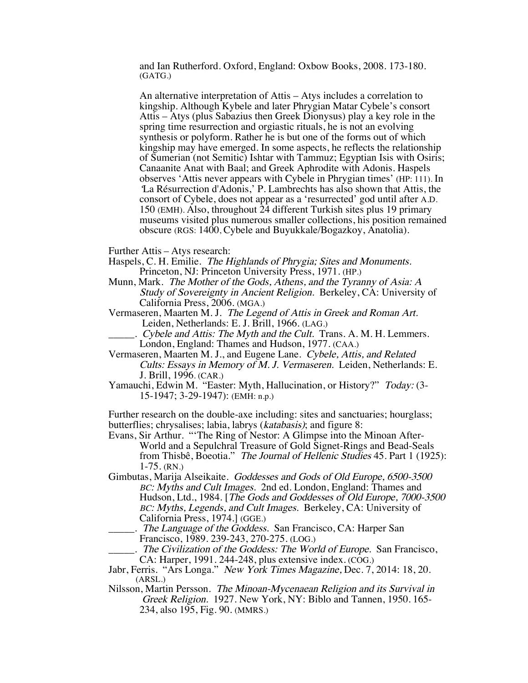and Ian Rutherford. Oxford, England: Oxbow Books, 2008. 173-180. (GATG.)

An alternative interpretation of Attis – Atys includes a correlation to kingship. Although Kybele and later Phrygian Matar Cybele's consort Attis – Atys (plus Sabazius then Greek Dionysus) play a key role in the spring time resurrection and orgiastic rituals, he is not an evolving synthesis or polyform. Rather he is but one of the forms out of which kingship may have emerged. In some aspects, he reflects the relationship of Sumerian (not Semitic) Ishtar with Tammuz; Egyptian Isis with Osiris; Canaanite Anat with Baal; and Greek Aphrodite with Adonis. Haspels observes 'Attis never appears with Cybele in Phrygian times' (HP: 111). In 'La Résurrection d'Adonis,' P. Lambrechts has also shown that Attis, the consort of Cybele, does not appear as a 'resurrected' god until after A.D. 150 (EMH). Also, throughout 24 different Turkish sites plus 19 primary museums visited plus numerous smaller collections, his position remained obscure (RGS: 1400, Cybele and Buyukkale/Bogazkoy, Anatolia).

Further Attis – Atys research:

- Haspels, C. H. Emilie. The Highlands of Phrygia; Sites and Monuments. Princeton, NJ: Princeton University Press, 1971. (HP.)
- Munn, Mark. The Mother of the Gods, Athens, and the Tyranny of Asia: A Study of Sovereignty in Ancient Religion. Berkeley, CA: University of California Press, 2006. (MGA.)
- Vermaseren, Maarten M. J. The Legend of Attis in Greek and Roman Art. Leiden, Netherlands: E. J. Brill, 1966. (LAG.)
	- . Cybele and Attis: The Myth and the Cult. Trans. A. M. H. Lemmers. London, England: Thames and Hudson, 1977. (CAA.)
- Vermaseren, Maarten M. J., and Eugene Lane. Cybele, Attis, and Related Cults: Essays in Memory of M. J. Vermaseren. Leiden, Netherlands: E. J. Brill, 1996. (CAR.)
- Yamauchi, Edwin M. "Easter: Myth, Hallucination, or History?" Today: (3-15-1947; 3-29-1947): (EMH: n.p.)

Further research on the double-axe including: sites and sanctuaries; hourglass; butterflies; chrysalises; labia, labrys (katabasis); and figure 8:

- Evans, Sir Arthur. "'The Ring of Nestor: A Glimpse into the Minoan After-World and a Sepulchral Treasure of Gold Signet-Rings and Bead-Seals from Thisbê, Boeotia." The Journal of Hellenic Studies 45. Part 1 (1925): 1-75. (RN.)
- Gimbutas, Marija Alseikaite. Goddesses and Gods of Old Europe, 6500-3500 BC: Myths and Cult Images. 2nd ed. London, England: Thames and Hudson, Ltd., 1984. [The Gods and Goddesses of Old Europe, 7000-3500 BC: Myths, Legends, and Cult Images. Berkeley, CA: University of California Press, 1974.] (GGE.)
- \_\_\_\_\_. The Language of the Goddess. San Francisco, CA: Harper San Francisco, 1989. 239-243, 270-275. (LOG.)
	- \_\_\_\_\_. The Civilization of the Goddess: The World of Europe. San Francisco, CA: Harper, 1991. 244-248, plus extensive index. (COG.)

Jabr, Ferris. "Ars Longa." New York Times Magazine, Dec. 7, 2014: 18, 20. (ARSL.)

Nilsson, Martin Persson. The Minoan-Mycenaean Religion and its Survival in Greek Religion. 1927. New York, NY: Biblo and Tannen, 1950. 165- 234, also 195, Fig. 90. (MMRS.)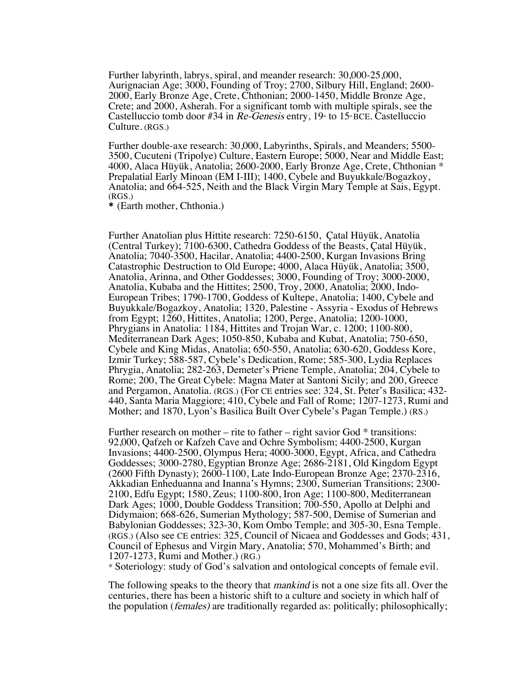Further labyrinth, labrys, spiral, and meander research: 30,000-25,000, Aurignacian Age; 3000, Founding of Troy; 2700, Silbury Hill, England; 2600- 2000, Early Bronze Age, Crete, Chthonian; 2000-1450, Middle Bronze Age, Crete; and 2000, Asherah. For a significant tomb with multiple spirals, see the Castelluccio tomb door #34 in Re-Genesis entry,  $19<sup>*</sup>$  to  $15<sup>*</sup>$  BCE, Castelluccio Culture. (RGS.)

Further double-axe research: 30,000, Labyrinths, Spirals, and Meanders; 5500- 3500, Cucuteni (Tripolye) Culture, Eastern Europe; 5000, Near and Middle East; 4000, Alaca Hüyük, Anatolia; 2600-2000, Early Bronze Age, Crete, Chthonian \* Prepalatial Early Minoan (EM I-III); 1400, Cybele and Buyukkale/Bogazkoy, Anatolia; and 664-525, Neith and the Black Virgin Mary Temple at Sais, Egypt. (RGS.)

\* (Earth mother, Chthonia.)

Further Anatolian plus Hittite research: 7250-6150, Çatal Hüyük, Anatolia (Central Turkey); 7100-6300, Cathedra Goddess of the Beasts, Çatal Hüyük, Anatolia; 7040-3500, Hacilar, Anatolia; 4400-2500, Kurgan Invasions Bring Catastrophic Destruction to Old Europe; 4000, Alaca Hüyük, Anatolia; 3500, Anatolia, Arinna, and Other Goddesses; 3000, Founding of Troy; 3000-2000, Anatolia, Kubaba and the Hittites; 2500, Troy, 2000, Anatolia; 2000, Indo-European Tribes; 1790-1700, Goddess of Kultepe, Anatolia; 1400, Cybele and Buyukkale/Bogazkoy, Anatolia; 1320, Palestine - Assyria - Exodus of Hebrews from Egypt; 1260, Hittites, Anatolia; 1200, Perge, Anatolia; 1200-1000, Phrygians in Anatolia: 1184, Hittites and Trojan War, c. 1200; 1100-800, Mediterranean Dark Ages; 1050-850, Kubaba and Kubat, Anatolia; 750-650, Cybele and King Midas, Anatolia; 650-550, Anatolia; 630-620, Goddess Kore, Izmir Turkey; 588-587, Cybele's Dedication, Rome; 585-300, Lydia Replaces Phrygia, Anatolia; 282-263, Demeter's Priene Temple, Anatolia; 204, Cybele to Rome; 200, The Great Cybele: Magna Mater at Santoni Sicily; and 200, Greece and Pergamon, Anatolia. (RGS.) (For CE entries see: 324, St. Peter's Basilica; 432- 440, Santa Maria Maggiore; 410, Cybele and Fall of Rome; 1207-1273, Rumi and Mother; and 1870, Lyon's Basilica Built Over Cybele's Pagan Temple.) (RS.)

Further research on mother – rite to father – right savior God  $*$  transitions: 92,000, Qafzeh or Kafzeh Cave and Ochre Symbolism; 4400-2500, Kurgan Invasions; 4400-2500, Olympus Hera; 4000-3000, Egypt, Africa, and Cathedra Goddesses; 3000-2780, Egyptian Bronze Age; 2686-2181, Old Kingdom Egypt (2600 Fifth Dynasty); 2600-1100, Late Indo-European Bronze Age; 2370-2316, Akkadian Enheduanna and Inanna's Hymns; 2300, Sumerian Transitions; 2300- 2100, Edfu Egypt; 1580, Zeus; 1100-800, Iron Age; 1100-800, Mediterranean Dark Ages; 1000, Double Goddess Transition; 700-550, Apollo at Delphi and Didymaion; 668-626, Sumerian Mythology; 587-500, Demise of Sumerian and Babylonian Goddesses; 323-30, Kom Ombo Temple; and 305-30, Esna Temple. (RGS.) (Also see CE entries: 325, Council of Nicaea and Goddesses and Gods; 431, Council of Ephesus and Virgin Mary, Anatolia; 570, Mohammed's Birth; and 1207-1273, Rumi and Mother.) (RG.)

\* Soteriology: study of God's salvation and ontological concepts of female evil.

The following speaks to the theory that *mankind* is not a one size fits all. Over the centuries, there has been a historic shift to a culture and society in which half of the population (females) are traditionally regarded as: politically; philosophically;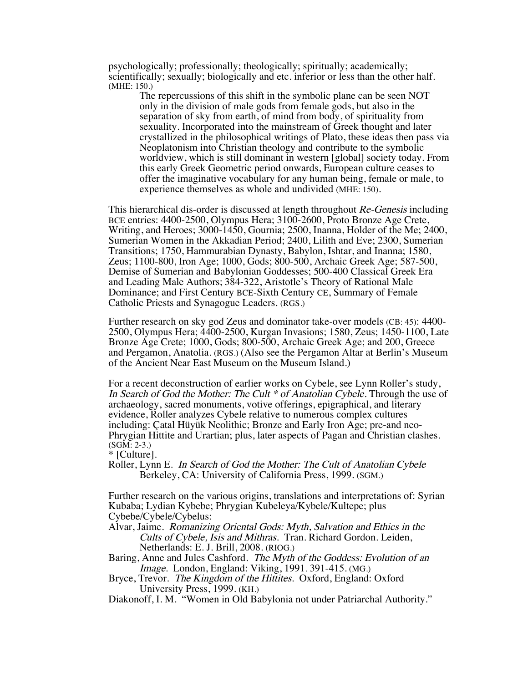psychologically; professionally; theologically; spiritually; academically; scientifically; sexually; biologically and etc. inferior or less than the other half. (MHE: 150.)

The repercussions of this shift in the symbolic plane can be seen NOT only in the division of male gods from female gods, but also in the separation of sky from earth, of mind from body, of spirituality from sexuality. Incorporated into the mainstream of Greek thought and later crystallized in the philosophical writings of Plato, these ideas then pass via Neoplatonism into Christian theology and contribute to the symbolic worldview, which is still dominant in western [global] society today. From this early Greek Geometric period onwards, European culture ceases to offer the imaginative vocabulary for any human being, female or male, to experience themselves as whole and undivided (MHE: 150).

This hierarchical dis-order is discussed at length throughout Re-Genesis including BCE entries: 4400-2500, Olympus Hera; 3100-2600, Proto Bronze Age Crete, Writing, and Heroes; 3000-1450, Gournia; 2500, Inanna, Holder of the Me; 2400, Sumerian Women in the Akkadian Period; 2400, Lilith and Eve; 2300, Sumerian Transitions; 1750, Hammurabian Dynasty, Babylon, Ishtar, and Inanna; 1580, Zeus; 1100-800, Iron Age; 1000, Gods; 800-500, Archaic Greek Age; 587-500, Demise of Sumerian and Babylonian Goddesses; 500-400 Classical Greek Era and Leading Male Authors; 384-322, Aristotle's Theory of Rational Male Dominance; and First Century BCE-Sixth Century CE, Summary of Female Catholic Priests and Synagogue Leaders. (RGS.)

Further research on sky god Zeus and dominator take-over models (CB: 45): 4400- 2500, Olympus Hera; 4400-2500, Kurgan Invasions; 1580, Zeus; 1450-1100, Late Bronze Age Crete; 1000, Gods; 800-500, Archaic Greek Age; and 200, Greece and Pergamon, Anatolia. (RGS.) (Also see the Pergamon Altar at Berlin's Museum of the Ancient Near East Museum on the Museum Island.)

For a recent deconstruction of earlier works on Cybele, see Lynn Roller's study, In Search of God the Mother: The Cult \* of Anatolian Cybele. Through the use of archaeology, sacred monuments, votive offerings, epigraphical, and literary evidence, Roller analyzes Cybele relative to numerous complex cultures including: Çatal Hüyük Neolithic; Bronze and Early Iron Age; pre-and neo-Phrygian Hittite and Urartian; plus, later aspects of Pagan and Christian clashes. (SGM: 2-3.)

\* [Culture].

Roller, Lynn E. In Search of God the Mother: The Cult of Anatolian Cybele Berkeley, CA: University of California Press, 1999. (SGM.)

Further research on the various origins, translations and interpretations of: Syrian Kubaba; Lydian Kybebe; Phrygian Kubeleya/Kybele/Kultepe; plus Cybebe/Cybele/Cybelus:

Alvar, Jaime. Romanizing Oriental Gods: Myth, Salvation and Ethics in the Cults of Cybele, Isis and Mithras. Tran. Richard Gordon. Leiden, Netherlands: E. J. Brill, 2008. (RIOG.)

- Baring, Anne and Jules Cashford. The Myth of the Goddess: Evolution of an Image. London, England: Viking, 1991. 391-415. (MG.)
- Bryce, Trevor. The Kingdom of the Hittites. Oxford, England: Oxford University Press, 1999. (KH.)
- Diakonoff, I. M. "Women in Old Babylonia not under Patriarchal Authority."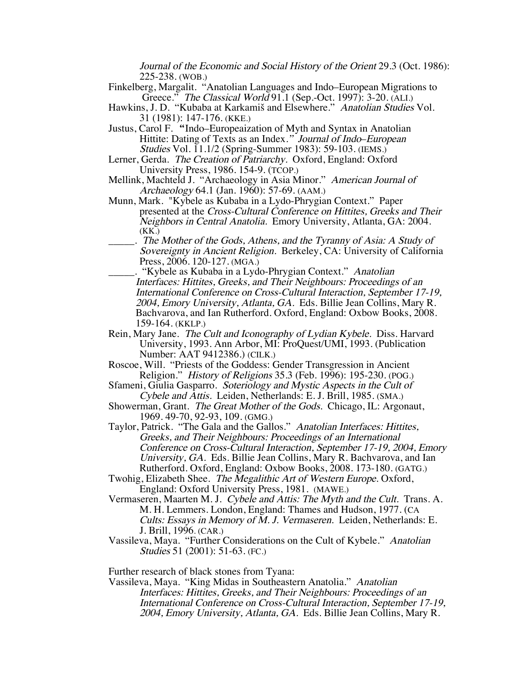Journal of the Economic and Social History of the Orient 29.3 (Oct. 1986): 225-238. (WOB.)

- Finkelberg, Margalit. "Anatolian Languages and Indo–European Migrations to Greece." The Classical World 91.1 (Sep.-Oct. 1997): 3-20. (ALI.)
- Hawkins, J. D. "Kubaba at Karkamiš and Elsewhere." Anatolian Studies Vol. 31 (1981): 147-176. (KKE.)
- Justus, Carol F. "Indo–Europeaization of Myth and Syntax in Anatolian Hittite: Dating of Texts as an Index." Journal of Indo–European<br>Studies Vol. 11.1/2 (Spring-Summer 1983): 59-103. (IEMS.)
- Lerner, Gerda. The Creation of Patriarchy. Oxford, England: Oxford University Press, 1986. 154-9. (TCOP.)
- Mellink, Machteld J. "Archaeology in Asia Minor." American Journal of Archaeology 64.1 (Jan. 1960): 57-69. (AAM.)
- Munn, Mark. "Kybele as Kubaba in a Lydo-Phrygian Context." Paper presented at the Cross-Cultural Conference on Hittites, Greeks and Their Neighbors in Central Anatolia. Emory University, Atlanta, GA: 2004. (KK.)
- \_\_\_\_\_. The Mother of the Gods, Athens, and the Tyranny of Asia: A Study of Sovereignty in Ancient Religion. Berkeley, CA: University of California Press, 2006. 120-127. (MGA.)
- . "Kybele as Kubaba in a Lydo-Phrygian Context." Anatolian Interfaces: Hittites, Greeks, and Their Neighbours: Proceedings of an International Conference on Cross-Cultural Interaction, September 17-19, 2004, Emory University, Atlanta, GA. Eds. Billie Jean Collins, Mary R. Bachvarova, and Ian Rutherford. Oxford, England: Oxbow Books, 2008. 159-164. (KKLP.)
- Rein, Mary Jane. The Cult and Iconography of Lydian Kybele. Diss. Harvard University, 1993. Ann Arbor, MI: ProQuest/UMI, 1993. (Publication Number: AAT 9412386.) (CILK.)
- Roscoe, Will. "Priests of the Goddess: Gender Transgression in Ancient Religion." History of Religions 35.3 (Feb. 1996): 195-230. (POG.)
- Sfameni, Giulia Gasparro. Soteriology and Mystic Aspects in the Cult of Cybele and Attis. Leiden, Netherlands: E. J. Brill, 1985. (SMA.)
- Showerman, Grant. The Great Mother of the Gods. Chicago, IL: Argonaut, 1969. 49-70, 92-93, 109. (GMG.)

Taylor, Patrick. "The Gala and the Gallos." Anatolian Interfaces: Hittites, Greeks, and Their Neighbours: Proceedings of an International Conference on Cross-Cultural Interaction, September 17-19, 2004, Emory University, GA. Eds. Billie Jean Collins, Mary R. Bachvarova, and Ian Rutherford. Oxford, England: Oxbow Books, 2008. 173-180. (GATG.)

Twohig, Elizabeth Shee. The Megalithic Art of Western Europe. Oxford, England: Oxford University Press, 1981. (MAWE.)

Vermaseren, Maarten M. J. Cybele and Attis: The Myth and the Cult. Trans. A. M. H. Lemmers. London, England: Thames and Hudson, 1977. (CA Cults: Essays in Memory of M. J. Vermaseren. Leiden, Netherlands: E. J. Brill, 1996. (CAR.)

Vassileva, Maya. "Further Considerations on the Cult of Kybele." Anatolian Studies 51 (2001): 51-63. (FC.)

Further research of black stones from Tyana:

Vassileva, Maya. "King Midas in Southeastern Anatolia." Anatolian Interfaces: Hittites, Greeks, and Their Neighbours: Proceedings of an International Conference on Cross-Cultural Interaction, September 17-19, 2004, Emory University, Atlanta, GA. Eds. Billie Jean Collins, Mary R.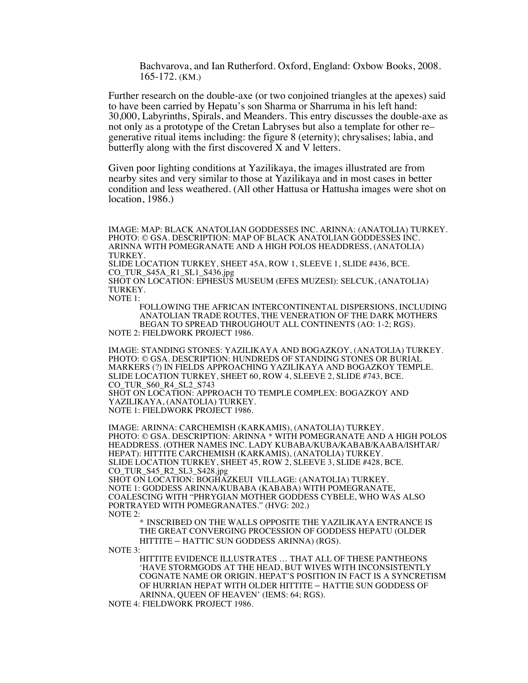Bachvarova, and Ian Rutherford. Oxford, England: Oxbow Books, 2008. 165-172. (KM.)

Further research on the double-axe (or two conjoined triangles at the apexes) said to have been carried by Hepatu's son Sharma or Sharruma in his left hand: 30,000, Labyrinths, Spirals, and Meanders. This entry discusses the double-axe as not only as a prototype of the Cretan Labryses but also a template for other re– generative ritual items including: the figure 8 (eternity); chrysalises; labia, and butterfly along with the first discovered X and V letters.

Given poor lighting conditions at Yazilikaya, the images illustrated are from nearby sites and very similar to those at Yazilikaya and in most cases in better condition and less weathered. (All other Hattusa or Hattusha images were shot on location, 1986.)

IMAGE: MAP: BLACK ANATOLIAN GODDESSES INC. ARINNA: (ANATOLIA) TURKEY. PHOTO: © GSA. DESCRIPTION: MAP OF BLACK ANATOLIAN GODDESSES INC. ARINNA WITH POMEGRANATE AND A HIGH POLOS HEADDRESS, (ANATOLIA) TURKEY. SLIDE LOCATION TURKEY, SHEET 45A, ROW 1, SLEEVE 1, SLIDE #436, BCE.

CO\_TUR\_S45A\_R1\_SL1\_S436.jpg SHOT ON LOCATION: EPHESUS MUSEUM (EFES MUZESI): SELCUK, (ANATOLIA)

TURKEY. NOTE 1:

FOLLOWING THE AFRICAN INTERCONTINENTAL DISPERSIONS, INCLUDING ANATOLIAN TRADE ROUTES, THE VENERATION OF THE DARK MOTHERS BEGAN TO SPREAD THROUGHOUT ALL CONTINENTS (AO: 1-2; RGS). NOTE 2: FIELDWORK PROJECT 1986.

IMAGE: STANDING STONES: YAZILIKAYA AND BOGAZKOY, (ANATOLIA) TURKEY. PHOTO: © GSA. DESCRIPTION: HUNDREDS OF STANDING STONES OR BURIAL MARKERS (?) IN FIELDS APPROACHING YAZILIKAYA AND BOGAZKOY TEMPLE. SLIDE LOCATION TURKEY, SHEET 60, ROW 4, SLEEVE 2, SLIDE #743, BCE. CO\_TUR\_S60\_R4\_SL2\_S743

SHOT ON LOCATION: APPROACH TO TEMPLE COMPLEX: BOGAZKOY AND YAZILIKAYA, (ANATOLIA) TURKEY. NOTE 1: FIELDWORK PROJECT 1986.

IMAGE: ARINNA: CARCHEMISH (KARKAMIS), (ANATOLIA) TURKEY. PHOTO: © GSA. DESCRIPTION: ARINNA \* WITH POMEGRANATE AND A HIGH POLOS HEADDRESS. (OTHER NAMES INC. LADY KUBABA/KUBA/KABAB/KAABA/ISHTAR/ HEPAT): HITTITE CARCHEMISH (KARKAMIS), (ANATOLIA) TURKEY. SLIDE LOCATION TURKEY, SHEET 45, ROW 2, SLEEVE 3, SLIDE #428, BCE. CO\_TUR\_S45\_R2\_SL3\_S428.jpg

SHOT ON LOCATION: BOGHAZKEUI VILLAGE: (ANATOLIA) TURKEY. NOTE 1: GODDESS ARINNA/KUBABA (KABABA) WITH POMEGRANATE, COALESCING WITH "PHRYGIAN MOTHER GODDESS CYBELE, WHO WAS ALSO PORTRAYED WITH POMEGRANATES." (HVG: 202.) NOTE 2:

\* INSCRIBED ON THE WALLS OPPOSITE THE YAZILIKAYA ENTRANCE IS THE GREAT CONVERGING PROCESSION OF GODDESS HEPATU (OLDER HITTITE – HATTIC SUN GODDESS ARINNA) (RGS).

NOTE 3:

HITTITE EVIDENCE ILLUSTRATES … THAT ALL OF THESE PANTHEONS 'HAVE STORMGODS AT THE HEAD, BUT WIVES WITH INCONSISTENTLY COGNATE NAME OR ORIGIN. HEPAT'S POSITION IN FACT IS A SYNCRETISM OF HURRIAN HEPAT WITH OLDER HITTITE – HATTIE SUN GODDESS OF ARINNA, QUEEN OF HEAVEN' (IEMS: 64; RGS).

NOTE 4: FIELDWORK PROJECT 1986.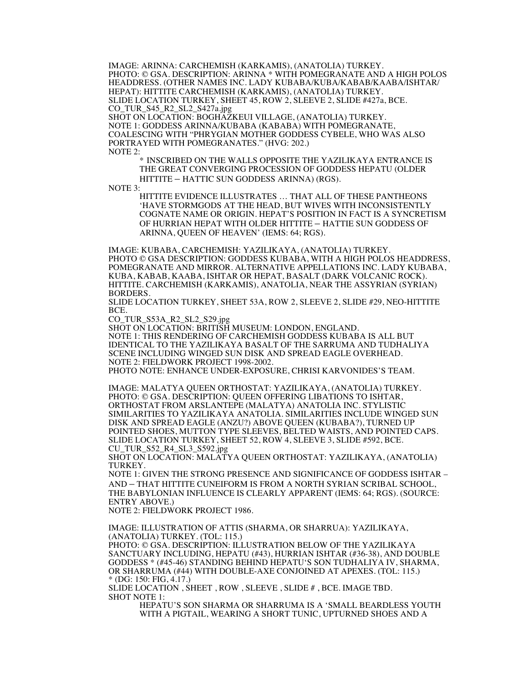IMAGE: ARINNA: CARCHEMISH (KARKAMIS), (ANATOLIA) TURKEY. PHOTO: © GSA. DESCRIPTION: ARINNA \* WITH POMEGRANATE AND A HIGH POLOS HEADDRESS. (OTHER NAMES INC. LADY KUBABA/KUBA/KABAB/KAABA/ISHTAR/ HEPAT): HITTITE CARCHEMISH (KARKAMIS), (ANATOLIA) TURKEY. SLIDE LOCATION TURKEY, SHEET 45, ROW 2, SLEEVE 2, SLIDE #427a, BCE. CO\_TUR\_S45\_R2\_SL2\_S427a.jpg

SHOT ON LOCATION: BOGHAZKEUI VILLAGE, (ANATOLIA) TURKEY. NOTE 1: GODDESS ARINNA/KUBABA (KABABA) WITH POMEGRANATE, COALESCING WITH "PHRYGIAN MOTHER GODDESS CYBELE, WHO WAS ALSO PORTRAYED WITH POMEGRANATES." (HVG: 202.)

 $*$  INSCRIBED ON THE WALLS OPPOSITE THE YAZILIKAYA ENTRANCE IS THE GREAT CONVERGING PROCESSION OF GODDESS HEPATU (OLDER HITTITE – HATTIC SUN GODDESS ARINNA) (RGS).

NOTE 3:

HITTITE EVIDENCE ILLUSTRATES … THAT ALL OF THESE PANTHEONS 'HAVE STORMGODS AT THE HEAD, BUT WIVES WITH INCONSISTENTLY COGNATE NAME OR ORIGIN. HEPAT'S POSITION IN FACT IS A SYNCRETISM OF HURRIAN HEPAT WITH OLDER HITTITE – HATTIE SUN GODDESS OF ARINNA, QUEEN OF HEAVEN' (IEMS: 64; RGS).

IMAGE: KUBABA, CARCHEMISH: YAZILIKAYA, (ANATOLIA) TURKEY. PHOTO © GSA DESCRIPTION: GODDESS KUBABA, WITH A HIGH POLOS HEADDRESS, POMEGRANATE AND MIRROR. ALTERNATIVE APPELLATIONS INC. LADY KUBABA, KUBA, KABAB, KAABA, ISHTAR OR HEPAT, BASALT (DARK VOLCANIC ROCK). HITTITE. CARCHEMISH (KARKAMIS), ANATOLIA, NEAR THE ASSYRIAN (SYRIAN) BORDERS.

SLIDE LOCATION TURKEY, SHEET 53A, ROW 2, SLEEVE 2, SLIDE #29, NEO-HITTITE BCE.

CO\_TUR\_S53A\_R2\_SL2\_S29.jpg

SHOT ON LOCATION: BRITISH MUSEUM: LONDON, ENGLAND. NOTE 1: THIS RENDERING OF CARCHEMISH GODDESS KUBABA IS ALL BUT IDENTICAL TO THE YAZILIKAYA BASALT OF THE SARRUMA AND TUDHALIYA SCENE INCLUDING WINGED SUN DISK AND SPREAD EAGLE OVERHEAD. NOTE 2: FIELDWORK PROJECT 1998-2002.

PHOTO NOTE: ENHANCE UNDER-EXPOSURE, CHRISI KARVONIDES'S TEAM.

IMAGE: MALATYA QUEEN ORTHOSTAT: YAZILIKAYA, (ANATOLIA) TURKEY. PHOTO: © GSA. DESCRIPTION: QUEEN OFFERING LIBATIONS TO ISHTAR, ORTHOSTAT FROM ARSLANTEPE (MALATYA) ANATOLIA INC. STYLISTIC SIMILARITIES TO YAZILIKAYA ANATOLIA. SIMILARITIES INCLUDE WINGED SUN DISK AND SPREAD EAGLE (ANZU?) ABOVE QUEEN (KUBABA?), TURNED UP POINTED SHOES, MUTTON TYPE SLEEVES, BELTED WAISTS, AND POINTED CAPS. SLIDE LOCATION TURKEY, SHEET 52, ROW 4, SLEEVE 3, SLIDE #592, BCE. CU\_TUR\_S52\_R4\_SL3\_S592.jpg

SHOT ON LOCATION: MALATYA QUEEN ORTHOSTAT: YAZILIKAYA, (ANATOLIA) TURKEY.

NOTE 1: GIVEN THE STRONG PRESENCE AND SIGNIFICANCE OF GODDESS ISHTAR – AND – THAT HITTITE CUNEIFORM IS FROM A NORTH SYRIAN SCRIBAL SCHOOL, THE BABYLONIAN INFLUENCE IS CLEARLY APPARENT (IEMS: 64; RGS). (SOURCE: ENTRY ABOVE.)

NOTE 2: FIELDWORK PROJECT 1986.

IMAGE: ILLUSTRATION OF ATTIS (SHARMA, OR SHARRUA): YAZILIKAYA, (ANATOLIA) TURKEY. (TOL: 115.) PHOTO: © GSA. DESCRIPTION: ILLUSTRATION BELOW OF THE YAZILIKAYA SANCTUARY INCLUDING, HEPATU (#43), HURRIAN ISHTAR (#36-38), AND DOUBLE GODDESS \* (#45-46) STANDING BEHIND HEPATU'S SON TUDHALIYA IV, SHARMA, OR SHARRUMA (#44) WITH DOUBLE-AXE CONJOINED AT APEXES. (TOL: 115.) \* (DG: 150: FIG, 4.17.)

SLIDE LOCATION , SHEET , ROW , SLEEVE , SLIDE # , BCE. IMAGE TBD. SHOT NOTE 1:

HEPATU'S SON SHARMA OR SHARRUMA IS A 'SMALL BEARDLESS YOUTH WITH A PIGTAIL, WEARING A SHORT TUNIC, UPTURNED SHOES AND A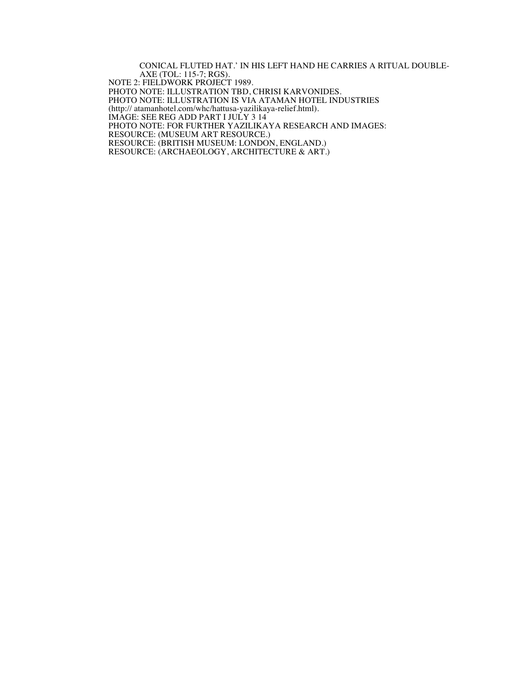CONICAL FLUTED HAT.' IN HIS LEFT HAND HE CARRIES A RITUAL DOUBLE-AXE (TOL: 115-7; RGS). NOTE 2: FIELDWORK PROJECT 1989. PHOTO NOTE: ILLUSTRATION TBD, CHRISI KARVONIDES. PHOTO NOTE: ILLUSTRATION IS VIA ATAMAN HOTEL INDUSTRIES (http:// atamanhotel.com/whc/hattusa-yazilikaya-relief.html). IMAGE: SEE REG ADD PART I JULY 3 14 PHOTO NOTE: FOR FURTHER YAZILIKAYA RESEARCH AND IMAGES: RESOURCE: (MUSEUM ART RESOURCE.) RESOURCE: (BRITISH MUSEUM: LONDON, ENGLAND.) RESOURCE: (ARCHAEOLOGY, ARCHITECTURE & ART.)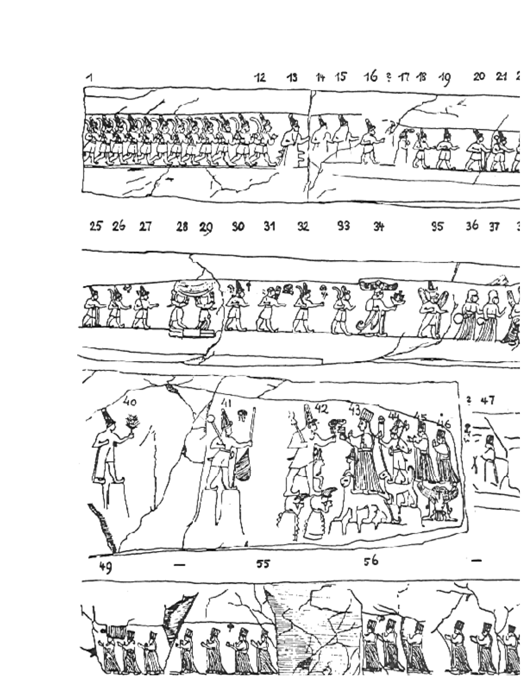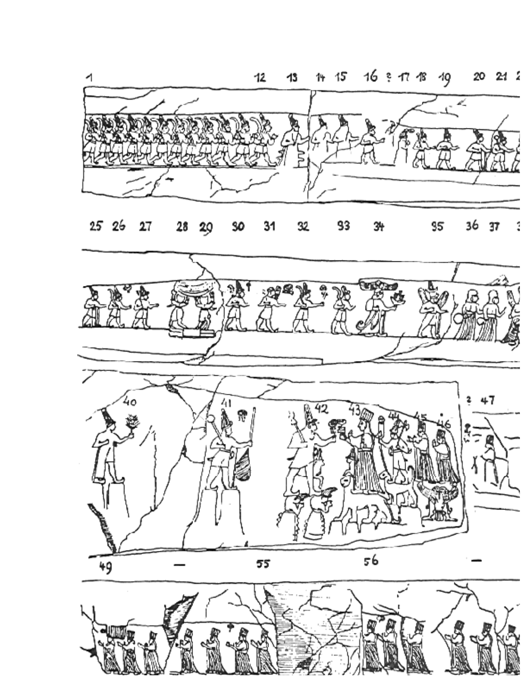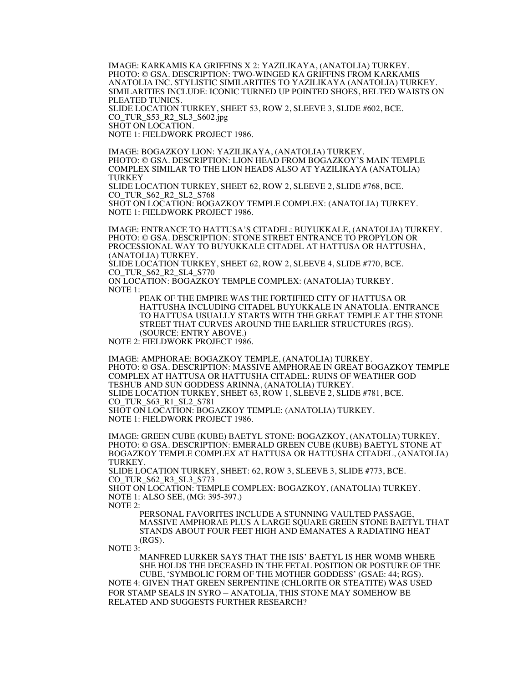IMAGE: KARKAMIS KA GRIFFINS X 2: YAZILIKAYA, (ANATOLIA) TURKEY. PHOTO: © GSA. DESCRIPTION: TWO-WINGED KA GRIFFINS FROM KARKAMIS ANATOLIA INC. STYLISTIC SIMILARITIES TO YAZILIKAYA (ANATOLIA) TURKEY. SIMILARITIES INCLUDE: ICONIC TURNED UP POINTED SHOES, BELTED WAISTS ON PLEATED TUNICS. SLIDE LOCATION TURKEY, SHEET 53, ROW 2, SLEEVE 3, SLIDE #602, BCE. CO\_TUR\_S53\_R2\_SL3\_S602.jpg SHOT ON LOCATION. NOTE 1: FIELDWORK PROJECT 1986.

IMAGE: BOGAZKOY LION: YAZILIKAYA, (ANATOLIA) TURKEY. PHOTO: © GSA. DESCRIPTION: LION HEAD FROM BOGAZKOY'S MAIN TEMPLE COMPLEX SIMILAR TO THE LION HEADS ALSO AT YAZILIKAYA (ANATOLIA) **TURKEY** SLIDE LOCATION TURKEY, SHEET 62, ROW 2, SLEEVE 2, SLIDE #768, BCE. CO\_TUR\_S62\_R2\_SL2\_S768 SHOT ON LOCATION: BOGAZKOY TEMPLE COMPLEX: (ANATOLIA) TURKEY. NOTE 1: FIELDWORK PROJECT 1986.

IMAGE: ENTRANCE TO HATTUSA'S CITADEL: BUYUKKALE, (ANATOLIA) TURKEY. PHOTO: © GSA. DESCRIPTION: STONE STREET ENTRANCE TO PROPYLON OR PROCESSIONAL WAY TO BUYUKKALE CITADEL AT HATTUSA OR HATTUSHA, (ANATOLIA) TURKEY. SLIDE LOCATION TURKEY, SHEET 62, ROW 2, SLEEVE 4, SLIDE #770, BCE. CO\_TUR\_S62\_R2\_SL4\_S770

ON LOCATION: BOGAZKOY TEMPLE COMPLEX: (ANATOLIA) TURKEY. NOTE 1:

PEAK OF THE EMPIRE WAS THE FORTIFIED CITY OF HATTUSA OR HATTUSHA INCLUDING CITADEL BUYUKKALE IN ANATOLIA. ENTRANCE TO HATTUSA USUALLY STARTS WITH THE GREAT TEMPLE AT THE STONE STREET THAT CURVES AROUND THE EARLIER STRUCTURES (RGS). (SOURCE: ENTRY ABOVE.)

NOTE 2: FIELDWORK PROJECT 1986.

IMAGE: AMPHORAE: BOGAZKOY TEMPLE, (ANATOLIA) TURKEY. PHOTO: © GSA. DESCRIPTION: MASSIVE AMPHORAE IN GREAT BOGAZKOY TEMPLE COMPLEX AT HATTUSA OR HATTUSHA CITADEL: RUINS OF WEATHER GOD TESHUB AND SUN GODDESS ARINNA, (ANATOLIA) TURKEY. SLIDE LOCATION TURKEY, SHEET 63, ROW 1, SLEEVE 2, SLIDE #781, BCE. CO\_TUR\_S63\_R1\_SL2\_S781 SHOT ON LOCATION: BOGAZKOY TEMPLE: (ANATOLIA) TURKEY. NOTE 1: FIELDWORK PROJECT 1986.

IMAGE: GREEN CUBE (KUBE) BAETYL STONE: BOGAZKOY, (ANATOLIA) TURKEY. PHOTO: © GSA. DESCRIPTION: EMERALD GREEN CUBE (KUBE) BAETYL STONE AT BOGAZKOY TEMPLE COMPLEX AT HATTUSA OR HATTUSHA CITADEL, (ANATOLIA) TURKEY.

SLIDE LOCATION TURKEY, SHEET: 62, ROW 3, SLEEVE 3, SLIDE #773, BCE. CO\_TUR\_S62\_R3\_SL3\_S773

SHOT ON LOCATION: TEMPLE COMPLEX: BOGAZKOY, (ANATOLIA) TURKEY. NOTE 1: ALSO SEE, (MG: 395-397.)

NOTE 2:

PERSONAL FAVORITES INCLUDE A STUNNING VAULTED PASSAGE, MASSIVE AMPHORAE PLUS A LARGE SQUARE GREEN STONE BAETYL THAT STANDS ABOUT FOUR FEET HIGH AND EMANATES A RADIATING HEAT (RGS).

NOTE 3:

MANFRED LURKER SAYS THAT THE ISIS' BAETYL IS HER WOMB WHERE SHE HOLDS THE DECEASED IN THE FETAL POSITION OR POSTURE OF THE CUBE, 'SYMBOLIC FORM OF THE MOTHER GODDESS' (GSAE: 44; RGS). NOTE 4: GIVEN THAT GREEN SERPENTINE (CHLORITE OR STEATITE) WAS USED FOR STAMP SEALS IN SYRO – ANATOLIA, THIS STONE MAY SOMEHOW BE RELATED AND SUGGESTS FURTHER RESEARCH?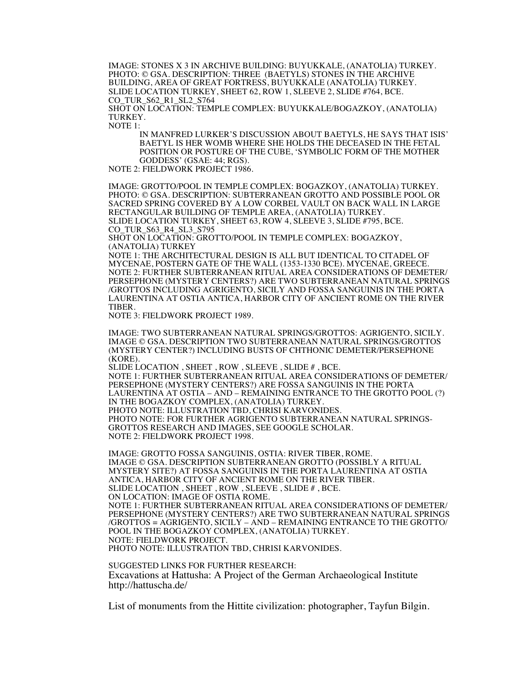IMAGE: STONES X 3 IN ARCHIVE BUILDING: BUYUKKALE, (ANATOLIA) TURKEY. PHOTO: © GSA. DESCRIPTION: THREE (BAETYLS) STONES IN THE ARCHIVE BUILDING, AREA OF GREAT FORTRESS, BUYUKKALE (ANATOLIA) TURKEY. SLIDE LOCATION TURKEY, SHEET 62, ROW 1, SLEEVE 2, SLIDE #764, BCE. CO\_TUR\_S62\_R1\_SL2\_S764

SHOT ON LOCATION: TEMPLE COMPLEX: BUYUKKALE/BOGAZKOY, (ANATOLIA) TURKEY.

NOTE 1:

IN MANFRED LURKER'S DISCUSSION ABOUT BAETYLS, HE SAYS THAT ISIS' BAETYL IS HER WOMB WHERE SHE HOLDS THE DECEASED IN THE FETAL POSITION OR POSTURE OF THE CUBE, 'SYMBOLIC FORM OF THE MOTHER GODDESS' (GSAE: 44; RGS).

NOTE 2: FIELDWORK PROJECT 1986.

IMAGE: GROTTO/POOL IN TEMPLE COMPLEX: BOGAZKOY, (ANATOLIA) TURKEY. PHOTO: © GSA. DESCRIPTION: SUBTERRANEAN GROTTO AND POSSIBLE POOL OR SACRED SPRING COVERED BY A LOW CORBEL VAULT ON BACK WALL IN LARGE RECTANGULAR BUILDING OF TEMPLE AREA, (ANATOLIA) TURKEY. SLIDE LOCATION TURKEY, SHEET 63, ROW 4, SLEEVE 3, SLIDE #795, BCE. CO\_TUR\_S63\_R4\_SL3\_S795

SHOT ON LOCATION: GROTTO/POOL IN TEMPLE COMPLEX: BOGAZKOY, (ANATOLIA) TURKEY

NOTE 1: THE ARCHITECTURAL DESIGN IS ALL BUT IDENTICAL TO CITADEL OF MYCENAE, POSTERN GATE OF THE WALL (1353-1330 BCE). MYCENAE, GREECE. NOTE 2: FURTHER SUBTERRANEAN RITUAL AREA CONSIDERATIONS OF DEMETER/ PERSEPHONE (MYSTERY CENTERS?) ARE TWO SUBTERRANEAN NATURAL SPRINGS /GROTTOS INCLUDING AGRIGENTO, SICILY AND FOSSA SANGUINIS IN THE PORTA LAURENTINA AT OSTIA ANTICA, HARBOR CITY OF ANCIENT ROME ON THE RIVER TIBER.

NOTE 3: FIELDWORK PROJECT 1989.

IMAGE: TWO SUBTERRANEAN NATURAL SPRINGS/GROTTOS: AGRIGENTO, SICILY. IMAGE © GSA. DESCRIPTION TWO SUBTERRANEAN NATURAL SPRINGS/GROTTOS (MYSTERY CENTER?) INCLUDING BUSTS OF CHTHONIC DEMETER/PERSEPHONE (KORE).

SLIDE LOCATION , SHEET , ROW , SLEEVE , SLIDE # , BCE. NOTE 1: FURTHER SUBTERRANEAN RITUAL AREA CONSIDERATIONS OF DEMETER/ PERSEPHONE (MYSTERY CENTERS?) ARE FOSSA SANGUINIS IN THE PORTA LAURENTINA AT OSTIA – AND – REMAINING ENTRANCE TO THE GROTTO POOL (?) IN THE BOGAZKOY COMPLEX, (ANATOLIA) TURKEY. PHOTO NOTE: ILLUSTRATION TBD, CHRISI KARVONIDES. PHOTO NOTE: FOR FURTHER AGRIGENTO SUBTERRANEAN NATURAL SPRINGS-GROTTOS RESEARCH AND IMAGES, SEE GOOGLE SCHOLAR. NOTE 2: FIELDWORK PROJECT 1998.

IMAGE: GROTTO FOSSA SANGUINIS, OSTIA: RIVER TIBER, ROME. IMAGE © GSA. DESCRIPTION SUBTERRANEAN GROTTO (POSSIBLY A RITUAL MYSTERY SITE?) AT FOSSA SANGUINIS IN THE PORTA LAURENTINA AT OSTIA ANTICA, HARBOR CITY OF ANCIENT ROME ON THE RIVER TIBER. SLIDE LOCATION , SHEET , ROW , SLEEVE , SLIDE # , BCE. ON LOCATION: IMAGE OF OSTIA ROME. NOTE 1: FURTHER SUBTERRANEAN RITUAL AREA CONSIDERATIONS OF DEMETER/ PERSEPHONE (MYSTERY CENTERS?) ARE TWO SUBTERRANEAN NATURAL SPRINGS /GROTTOS = AGRIGENTO, SICILY – AND – REMAINING ENTRANCE TO THE GROTTO/ POOL IN THE BOGAZKOY COMPLEX, (ANATOLIA) TURKEY. NOTE: FIELDWORK PROJECT. PHOTO NOTE: ILLUSTRATION TBD, CHRISI KARVONIDES.

SUGGESTED LINKS FOR FURTHER RESEARCH: Excavations at Hattusha: A Project of the German Archaeological Institute http://hattuscha.de/

List of monuments from the Hittite civilization: photographer, Tayfun Bilgin.